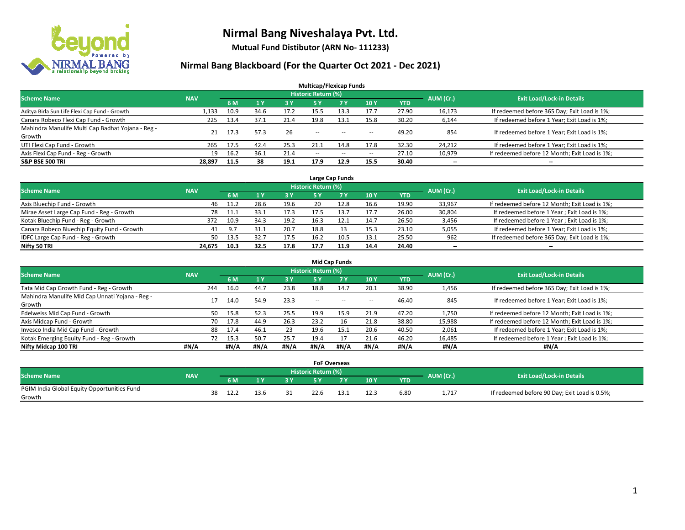

**Mutual Fund Distibutor (ARN No- 111233)**

| <b>Multicap/Flexicap Funds</b>                    |            |      |      |      |                            |       |                          |            |           |                                               |  |  |  |
|---------------------------------------------------|------------|------|------|------|----------------------------|-------|--------------------------|------------|-----------|-----------------------------------------------|--|--|--|
| <b>Scheme Name</b>                                | <b>NAV</b> |      |      |      | <b>Historic Return (%)</b> |       |                          |            | AUM (Cr.) | <b>Exit Load/Lock-in Details</b>              |  |  |  |
|                                                   |            | 6 M  | 1Y   | 3 Y  | <b>5Y</b>                  | 7 Y   | 10Y                      | <b>YTD</b> |           |                                               |  |  |  |
| Aditya Birla Sun Life Flexi Cap Fund - Growth     | 1,133      | 10.9 | 34.6 | 17.2 | 15.5                       | 13.3  | 17.7                     | 27.90      | 16,173    | If redeemed before 365 Day; Exit Load is 1%;  |  |  |  |
| Canara Robeco Flexi Cap Fund - Growth             | 225        | 13.4 | 37.1 | 21.4 | 19.8                       | 13.1  | 15.8                     | 30.20      | 6,144     | If redeemed before 1 Year; Exit Load is 1%;   |  |  |  |
| Mahindra Manulife Multi Cap Badhat Yojana - Reg - | 21         | 17.3 | 57.3 | 26   | $\overline{\phantom{a}}$   |       |                          | 49.20      | 854       | If redeemed before 1 Year; Exit Load is 1%;   |  |  |  |
| Growth                                            |            |      |      |      |                            | $- -$ | $\overline{\phantom{a}}$ |            |           |                                               |  |  |  |
| UTI Flexi Cap Fund - Growth                       | 265        | 17.5 | 42.4 | 25.3 | 21.1                       | 14.8  | 17.8                     | 32.30      | 24,212    | If redeemed before 1 Year; Exit Load is 1%;   |  |  |  |
| Axis Flexi Cap Fund - Reg - Growth                | 19         | 16.2 | 36.1 | 21.4 | $\overline{\phantom{a}}$   | $- -$ | $\overline{\phantom{a}}$ | 27.10      | 10,979    | If redeemed before 12 Month; Exit Load is 1%; |  |  |  |
| <b>S&amp;P BSE 500 TRI</b>                        | 28,897     | 11.5 | 38   | 19.1 | 17.9                       | 12.9  | 15.5                     | 30.40      | $- -$     | $- -$                                         |  |  |  |

|                                             |            |      |      |      |                            | Large Cap Funds |      |            |                                  |                                               |
|---------------------------------------------|------------|------|------|------|----------------------------|-----------------|------|------------|----------------------------------|-----------------------------------------------|
| <b>Scheme Name</b>                          | <b>NAV</b> |      |      |      | <b>Historic Return (%)</b> |                 |      | AUM (Cr.)  | <b>Exit Load/Lock-in Details</b> |                                               |
|                                             |            | 6 M  |      | 3 Y  |                            | <b>7 Y</b>      | 10Y  | <b>YTD</b> |                                  |                                               |
| Axis Bluechip Fund - Growth                 | 46         | 11.2 | 28.6 | 19.6 | 20                         | 12.8            | 16.6 | 19.90      | 33,967                           | If redeemed before 12 Month; Exit Load is 1%; |
| Mirae Asset Large Cap Fund - Reg - Growth   | 78         | 11.1 | 33.1 | 17.3 |                            | 13.7            | 17.7 | 26.00      | 30,804                           | If redeemed before 1 Year; Exit Load is 1%;   |
| Kotak Bluechip Fund - Reg - Growth          | 372        | 10.9 | 34.3 | 19.2 | 16.3                       | 12.1            | 14.7 | 26.50      | 3,456                            | If redeemed before 1 Year; Exit Load is 1%;   |
| Canara Robeco Bluechip Equity Fund - Growth | 41         | 9.7  | 31.1 | 20.7 | 18.8                       |                 | 15.3 | 23.10      | 5,055                            | If redeemed before 1 Year; Exit Load is 1%;   |
| IDFC Large Cap Fund - Reg - Growth          | 50         | 13.5 | 32.1 | 17.5 | 16.2                       | 10.5            | 13.1 | 25.50      | 962                              | If redeemed before 365 Day; Exit Load is 1%;  |
| Nifty 50 TRI                                | 24.675     | 10.3 | 32.5 | 17.8 | 17.7                       | 11.9            | 14.4 | 24.40      | $- -$                            | $- -$                                         |

|                                                 |            |     |      |      |      |                     | <b>Mid Cap Funds</b> |                          |            |           |                                               |
|-------------------------------------------------|------------|-----|------|------|------|---------------------|----------------------|--------------------------|------------|-----------|-----------------------------------------------|
| <b>Scheme Name</b>                              | <b>NAV</b> |     |      |      |      | Historic Return (%) |                      |                          |            | AUM (Cr.) | <b>Exit Load/Lock-in Details</b>              |
|                                                 |            |     | 6 M  |      | 3 Y  | 5 Y                 | <b>7Y</b>            | 10Y                      | <b>YTD</b> |           |                                               |
| Tata Mid Cap Growth Fund - Reg - Growth         |            | 244 | 16.0 | 44.7 | 23.8 | 18.8                | 14.7                 | 20.1                     | 38.90      | 1,456     | If redeemed before 365 Day; Exit Load is 1%;  |
| Mahindra Manulife Mid Cap Unnati Yojana - Reg - |            |     | 14.0 | 54.9 | 23.3 | $-$                 | $\sim$               | $\overline{\phantom{a}}$ | 46.40      | 845       | If redeemed before 1 Year; Exit Load is 1%;   |
| Growth                                          |            |     |      |      |      |                     |                      |                          |            |           |                                               |
| Edelweiss Mid Cap Fund - Growth                 |            | 50  | 15.8 | 52.3 | 25.5 | 19.9                | 15.9                 | 21.9                     | 47.20      | 1,750     | If redeemed before 12 Month; Exit Load is 1%; |
| Axis Midcap Fund - Growth                       |            | 70  | 17.8 | 44.9 | 26.3 | 23.2                | 16                   | 21.8                     | 38.80      | 15,988    | If redeemed before 12 Month; Exit Load is 1%; |
| Invesco India Mid Cap Fund - Growth             |            | 88  | 17.4 | 46.1 | 23   | 19.6                | 15.1                 | 20.6                     | 40.50      | 2,061     | If redeemed before 1 Year; Exit Load is 1%;   |
| Kotak Emerging Equity Fund - Reg - Growth       |            |     | 15.3 | 50.7 | 25.7 | 19.4                | 17                   | 21.6                     | 46.20      | 16,485    | If redeemed before 1 Year; Exit Load is 1%;   |
| Nifty Midcap 100 TRI                            | #N/A       |     | #N/A | #N/A | #N/A | #N/A                | #N/A                 | #N/A                     | #N/A       | #N/A      | #N/A                                          |

|                                               |            |    |      |      |     | <b>FoF Overseas</b>        |     |      |            |           |                                               |
|-----------------------------------------------|------------|----|------|------|-----|----------------------------|-----|------|------------|-----------|-----------------------------------------------|
| <b>Scheme Name</b>                            | <b>NAV</b> |    |      |      |     | <b>Historic Return (%)</b> |     |      |            | AUM (Cr.) | <b>Exit Load/Lock-in Details</b>              |
|                                               |            |    | 6 M  |      | 2 V |                            | 7 V | 10Y  | <b>YTD</b> |           |                                               |
| PGIM India Global Equity Opportunities Fund - |            | 38 | 12.2 | 13.6 |     | 22.6                       |     | 12.3 | 6.80       | 1,717     | If redeemed before 90 Day; Exit Load is 0.5%; |
| Growth                                        |            |    |      |      |     |                            |     |      |            |           |                                               |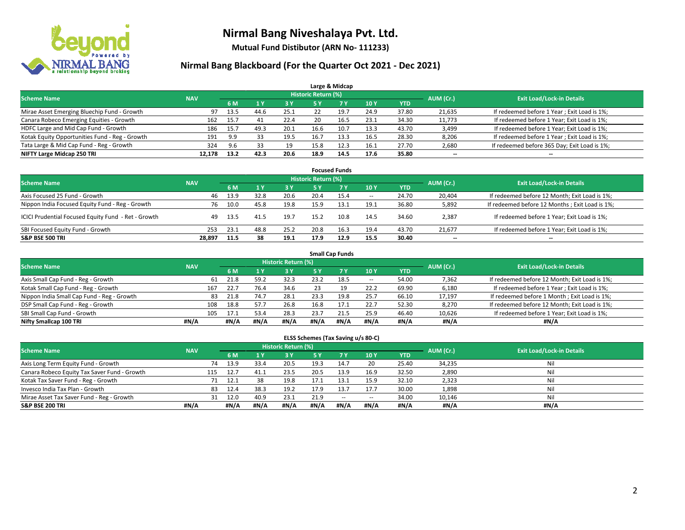

**Mutual Fund Distibutor (ARN No- 111233)**

### **Nirmal Bang Blackboard (For the Quarter Oct 2021 - Dec 2021)**

|                                                |            |      |      |      |                            | Large & Midcap |      |            |                          |                                              |
|------------------------------------------------|------------|------|------|------|----------------------------|----------------|------|------------|--------------------------|----------------------------------------------|
| <b>Scheme Name</b>                             | <b>NAV</b> |      |      |      | <b>Historic Return (%)</b> |                |      |            | AUM (Cr.)                | <b>Exit Load/Lock-in Details</b>             |
|                                                |            | 6 M  |      | 3 Y  | 5 Y                        | 7 Y            | 10Y  | <b>YTD</b> |                          |                                              |
| Mirae Asset Emerging Bluechip Fund - Growth    | 97         | 13.5 | 44.6 | 25.1 | 22                         | 19.            | 24.9 | 37.80      | 21,635                   | If redeemed before 1 Year; Exit Load is 1%;  |
| Canara Robeco Emerging Equities - Growth       | 162        | 15.7 | 41   | 22.4 | 20                         | 16.5           | 23.1 | 34.30      | 11,773                   | If redeemed before 1 Year; Exit Load is 1%;  |
| HDFC Large and Mid Cap Fund - Growth           | 186        | 15.7 | 49.3 | 20.1 | 16.6                       | 10.7           | 13.3 | 43.70      | 3,499                    | If redeemed before 1 Year; Exit Load is 1%;  |
| Kotak Equity Opportunities Fund - Reg - Growth | 191        | 9.9  |      | 19.5 | 16.7                       | 13.3           | 16.5 | 28.30      | 8,206                    | If redeemed before 1 Year; Exit Load is 1%;  |
| Tata Large & Mid Cap Fund - Reg - Growth       | 324        | 9.6  | 33   | 19   | 15.8                       | 12.3           | 16.1 | 27.70      | 2,680                    | If redeemed before 365 Day; Exit Load is 1%; |
| NIFTY Large Midcap 250 TRI                     | 12.178     | 13.2 | 42.3 | 20.6 | 18.9                       | 14.5           | 17.6 | 35.80      | $\overline{\phantom{a}}$ | $- -$                                        |

| <b>Focused Funds</b>                                |            |      |      |            |                     |      |                          |       |                          |                                                |  |  |  |
|-----------------------------------------------------|------------|------|------|------------|---------------------|------|--------------------------|-------|--------------------------|------------------------------------------------|--|--|--|
| <b>Scheme Name</b>                                  | <b>NAV</b> |      |      |            | Historic Return (%) |      |                          |       | AUM (Cr.)                | <b>Exit Load/Lock-in Details</b>               |  |  |  |
|                                                     |            | 6 M  |      | <b>3 Y</b> | 5 Y                 | 7 Y  | 10Y                      | YTD   |                          |                                                |  |  |  |
| Axis Focused 25 Fund - Growth                       | 46         | 13.9 | 32.8 | 20.6       | 20.4                | 15.4 | $\overline{\phantom{a}}$ | 24.70 | 20.404                   | If redeemed before 12 Month; Exit Load is 1%;  |  |  |  |
| Nippon India Focused Equity Fund - Reg - Growth     | 76         | 10.0 | 45.8 | 19.8       | 15.9                | 13.1 | 19.1                     | 36.80 | 5,892                    | If redeemed before 12 Months; Exit Load is 1%; |  |  |  |
| ICICI Prudential Focused Equity Fund - Ret - Growth | 49         | 13.5 | 41.5 | 19.7       | 15.2                | 10.8 | 14.5                     | 34.60 | 2,387                    | If redeemed before 1 Year; Exit Load is 1%;    |  |  |  |
| SBI Focused Equity Fund - Growth                    | 253        | 23.1 | 48.8 | 25.2       | 20.8                | 16.3 | 19.4                     | 43.70 | 21,677                   | If redeemed before 1 Year; Exit Load is 1%;    |  |  |  |
| <b>S&amp;P BSE 500 TRI</b>                          | 28.897     | 11.5 | 38   | 19.1       | 17.9                | 12.9 | 15.5                     | 30.40 | $\overline{\phantom{a}}$ | $\overline{\phantom{m}}$                       |  |  |  |

| <b>Small Cap Funds</b>                     |            |             |      |                     |      |           |            |            |           |                                               |  |  |  |
|--------------------------------------------|------------|-------------|------|---------------------|------|-----------|------------|------------|-----------|-----------------------------------------------|--|--|--|
| <b>Scheme Name</b>                         | <b>NAV</b> |             |      | Historic Return (%) |      |           |            |            | AUM (Cr.) | <b>Exit Load/Lock-in Details</b>              |  |  |  |
|                                            |            | 6 M         |      | 3 Y                 | 5 Y  | <b>7Y</b> | <b>10Y</b> | <b>YTD</b> |           |                                               |  |  |  |
| Axis Small Cap Fund - Reg - Growth         |            | 21.8<br>61  | 59.2 | 32.3                | 23.2 | 18.5      | $- -$      | 54.00      | 7,362     | If redeemed before 12 Month; Exit Load is 1%; |  |  |  |
| Kotak Small Cap Fund - Reg - Growth        |            | 22.7<br>167 | 76.4 | 34.6                | 23   | 19        | 22.2       | 69.90      | 6,180     | If redeemed before 1 Year; Exit Load is 1%;   |  |  |  |
| Nippon India Small Cap Fund - Reg - Growth |            | 83<br>21.8  | 74.7 | 28.1                | 23.3 | 19.8      | 25.7       | 66.10      | 17,197    | If redeemed before 1 Month; Exit Load is 1%;  |  |  |  |
| DSP Small Cap Fund - Reg - Growth          |            | 18.8<br>108 | 57.7 | 26.8                | 16.8 | 17.1      | 22.7       | 52.30      | 8,270     | If redeemed before 12 Month; Exit Load is 1%; |  |  |  |
| SBI Small Cap Fund - Growth                |            | 17.1<br>105 | 53.4 | 28.3                | 23.7 | 21.5      | 25.9       | 46.40      | 10,626    | If redeemed before 1 Year; Exit Load is 1%;   |  |  |  |
| Nifty Smallcap 100 TRI                     | #N/A       | #N/A        | #N/A | #N/A                | #N/A | #N/A      | #N/A       | #N/A       | #N/A      | #N/A                                          |  |  |  |

#### **ELSS Schemes (Tax Saving u/s 80-C)**

| <b>Scheme Name</b>                           | <b>NAV</b> |      |      | Historic Return (%) |            |           |            |            | AUM (Cr.) | <b>Exit Load/Lock-in Details</b> |
|----------------------------------------------|------------|------|------|---------------------|------------|-----------|------------|------------|-----------|----------------------------------|
|                                              |            | 6 M  |      | <b>3Y</b>           | <b>5 Y</b> | <b>7Y</b> | <b>10Y</b> | <b>YTD</b> |           |                                  |
| Axis Long Term Equity Fund - Growth          | 74         | 13.9 | 33.4 | 20.5                | 19.3       | 14.7      | 20         | 25.40      | 34,235    | Nil                              |
| Canara Robeco Equity Tax Saver Fund - Growth | 115        | 12.7 | 41.1 | 23.5                | 20.5       | 13.9      | 16.9       | 32.50      | 2,890     | Nil                              |
| Kotak Tax Saver Fund - Reg - Growth          |            | 12.1 | 38   | 19.8                | 17.1       | 13.1      | 15.9       | 32.10      | 2,323     | Nil                              |
| Invesco India Tax Plan - Growth              | 83         | 12.4 | 38.3 | 19.2                | 17.9       | 13.7      | 17.7       | 30.00      | 1,898     | Nil                              |
| Mirae Asset Tax Saver Fund - Reg - Growth    | 31         | 12.0 | 40.9 | 23.1                | 21.9       | $-$       | --         | 34.00      | 10,146    | Nil                              |
| <b>S&amp;P BSE 200 TRI</b>                   | #N/A       | #N/A | #N/A | #N/A                | #N/A       | #N/A      | #N/A       | #N/A       | #N/A      | #N/A                             |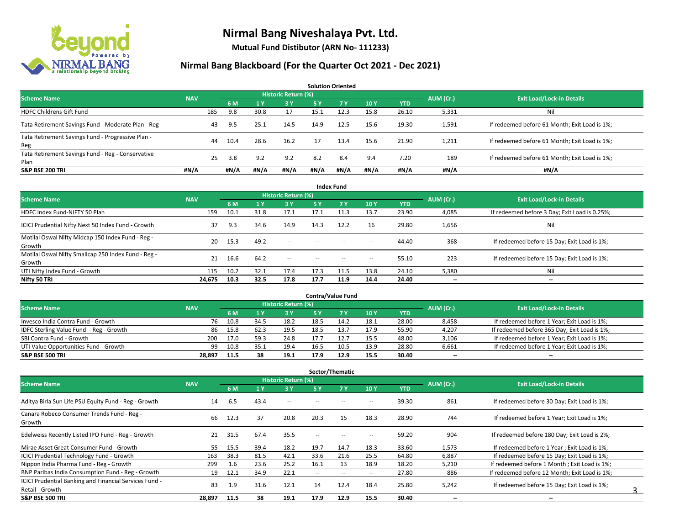

**Mutual Fund Distibutor (ARN No- 111233)**

|                                                           |            |     |      |      |                     |      | <b>Solution Oriented</b> |      |            |           |                                               |
|-----------------------------------------------------------|------------|-----|------|------|---------------------|------|--------------------------|------|------------|-----------|-----------------------------------------------|
| <b>Scheme Name</b>                                        | <b>NAV</b> |     |      |      | Historic Return (%) |      |                          |      |            | AUM (Cr.) | <b>Exit Load/Lock-in Details</b>              |
|                                                           |            |     | 6 M  |      | 3 Y                 | 5 Y  | <b>7Y</b>                | 10Y  | <b>YTD</b> |           |                                               |
| <b>HDFC Childrens Gift Fund</b>                           |            | 185 | 9.8  | 30.8 | 17                  | 15.1 | 12.3                     | 15.8 | 26.10      | 5,331     | Ni                                            |
| Tata Retirement Savings Fund - Moderate Plan - Reg        |            | 43  | 9.5  | 25.1 | 14.5                | 14.9 | 12.5                     | 15.6 | 19.30      | 1,591     | If redeemed before 61 Month; Exit Load is 1%; |
| Tata Retirement Savings Fund - Progressive Plan -<br>Reg  |            | 44  | 10.4 | 28.6 | 16.2                | -17  | 13.4                     | 15.6 | 21.90      | 1,211     | If redeemed before 61 Month; Exit Load is 1%; |
| Tata Retirement Savings Fund - Reg - Conservative<br>Plan |            | 25  | 3.8  | 9.2  | 9.2                 | 8.2  | 8.4                      | 9.4  | 7.20       | 189       | If redeemed before 61 Month; Exit Load is 1%; |
| <b>S&amp;P BSE 200 TRI</b>                                | #N/A       |     | #N/A | #N/A | #N/A                | #N/A | #N/A                     | #N/A | #N/A       | #N/A      | #N/A                                          |

| <b>Index Fund</b>                                             |            |      |      |                     |        |            |                          |            |           |                                               |  |  |  |
|---------------------------------------------------------------|------------|------|------|---------------------|--------|------------|--------------------------|------------|-----------|-----------------------------------------------|--|--|--|
| <b>Scheme Name</b>                                            | <b>NAV</b> |      |      | Historic Return (%) |        |            |                          |            | AUM (Cr.) | <b>Exit Load/Lock-in Details</b>              |  |  |  |
|                                                               |            | 6 M  | 1 Y  | <b>3 Y</b>          | 5 Y    | <b>7 Y</b> | 10Y                      | <b>YTD</b> |           |                                               |  |  |  |
| HDFC Index Fund-NIFTY 50 Plan                                 | 159        | 10.1 | 31.8 | 17.1                | 17.1   | 11.3       | 13.7                     | 23.90      | 4,085     | If redeemed before 3 Day; Exit Load is 0.25%; |  |  |  |
| ICICI Prudential Nifty Next 50 Index Fund - Growth            | 37         | 9.3  | 34.6 | 14.9                | 14.3   | 12.2       | 16                       | 29.80      | 1,656     | Nil                                           |  |  |  |
| Motilal Oswal Nifty Midcap 150 Index Fund - Reg -<br>Growth   | 20         | 15.3 | 49.2 | $\sim$              | $\sim$ | $-$        | $\overline{\phantom{a}}$ | 44.40      | 368       | If redeemed before 15 Day; Exit Load is 1%;   |  |  |  |
| Motilal Oswal Nifty Smallcap 250 Index Fund - Reg -<br>Growth | 21         | 16.6 | 64.2 | $\sim$              | $\sim$ | $-$        | $\overline{\phantom{a}}$ | 55.10      | 223       | If redeemed before 15 Day; Exit Load is 1%;   |  |  |  |
| UTI Nifty Index Fund - Growth                                 | 115        | 10.2 | 32.1 | 17.4                | 17.3   | 11.5       | 13.8                     | 24.10      | 5,380     | Nil                                           |  |  |  |
| Nifty 50 TRI                                                  | 24,675     | 10.3 | 32.5 | 17.8                | 17.7   | 11.9       | 14.4                     | 24.40      | $- -$     | $\overline{\phantom{a}}$                      |  |  |  |

| <b>Contra/Value Fund</b>                |            |      |      |                     |      |      |      |       |           |                                              |  |  |  |
|-----------------------------------------|------------|------|------|---------------------|------|------|------|-------|-----------|----------------------------------------------|--|--|--|
| <b>Scheme Name</b>                      | <b>NAV</b> |      |      | Historic Return (%) |      |      |      |       | AUM (Cr.) | <b>Exit Load/Lock-in Details</b>             |  |  |  |
|                                         |            | 6 M  |      | 3 Y                 |      |      | 10Y  | YTD   |           |                                              |  |  |  |
| Invesco India Contra Fund - Growth      | 76         | 10.8 | 34.5 | 18.2                | 18.5 | 14.2 | 18.1 | 28.00 | 8,458     | If redeemed before 1 Year; Exit Load is 1%;  |  |  |  |
| IDFC Sterling Value Fund - Reg - Growth | 86         | 15.8 | 62.3 | 19.5                | 18.5 |      | 17.9 | 55.90 | 4,207     | If redeemed before 365 Day; Exit Load is 1%; |  |  |  |
| SBI Contra Fund - Growth                | 200        | 17.0 | 59.3 | 24.8                |      |      | 15.5 | 48.00 | 3,106     | If redeemed before 1 Year; Exit Load is 1%;  |  |  |  |
| UTI Value Opportunities Fund - Growth   | 99         | 10.8 | 35.1 | 19.4                | 16.5 | 10.5 | 13.9 | 28.80 | 6,661     | If redeemed before 1 Year; Exit Load is 1%;  |  |  |  |
| <b>S&amp;P BSE 500 TRI</b>              | 28.897     | 11.5 | 38   | 19.1                | 17.9 | 12.9 | 15.5 | 30.40 | $- -$     | $- -$                                        |  |  |  |

|                                                                           |            |      |      |                            |        | Sector/Thematic          |                          |            |                          |                                               |
|---------------------------------------------------------------------------|------------|------|------|----------------------------|--------|--------------------------|--------------------------|------------|--------------------------|-----------------------------------------------|
| <b>Scheme Name</b>                                                        | <b>NAV</b> |      |      | <b>Historic Return (%)</b> |        |                          |                          |            | AUM (Cr.)                | <b>Exit Load/Lock-in Details</b>              |
|                                                                           |            | 6 M  | 1 Y  | 3 Y                        | 5 Y    | <b>7Y</b>                | 10Y                      | <b>YTD</b> |                          |                                               |
| Aditya Birla Sun Life PSU Equity Fund - Reg - Growth                      | 14         | 6.5  | 43.4 | $\overline{\phantom{a}}$   | --     |                          | -                        | 39.30      | 861                      | If redeemed before 30 Day; Exit Load is 1%;   |
| Canara Robeco Consumer Trends Fund - Reg -<br>Growth                      | 66         | 12.3 | 37   | 20.8                       | 20.3   | 15                       | 18.3                     | 28.90      | 744                      | If redeemed before 1 Year; Exit Load is 1%;   |
| Edelweiss Recently Listed IPO Fund - Reg - Growth                         | 21         | 31.5 | 67.4 | 35.5                       | - -    |                          |                          | 59.20      | 904                      | If redeemed before 180 Day; Exit Load is 2%;  |
| Mirae Asset Great Consumer Fund - Growth                                  | 55.        | 15.5 | 39.4 | 18.2                       | 19.7   | 14.7                     | 18.3                     | 33.60      | 1,573                    | If redeemed before 1 Year; Exit Load is 1%;   |
| <b>ICICI Prudential Technology Fund - Growth</b>                          | 163        | 38.3 | 81.5 | 42.1                       | 33.6   | 21.6                     | 25.5                     | 64.80      | 6,887                    | If redeemed before 15 Day; Exit Load is 1%;   |
| Nippon India Pharma Fund - Reg - Growth                                   | 299        | 1.6  | 23.6 | 25.2                       | 16.1   | 13                       | 18.9                     | 18.20      | 5,210                    | If redeemed before 1 Month; Exit Load is 1%;  |
| BNP Paribas India Consumption Fund - Reg - Growth                         | 19         | 12.1 | 34.9 | 22.1                       | $\sim$ | $\overline{\phantom{a}}$ | $\overline{\phantom{a}}$ | 27.80      | 886                      | If redeemed before 12 Month; Exit Load is 1%; |
| ICICI Prudential Banking and Financial Services Fund -<br>Retail - Growth | 83         | 1.9  | 31.6 | 12.1                       | 14     | 12.4                     | 18.4                     | 25.80      | 5,242                    | If redeemed before 15 Day; Exit Load is 1%;   |
| <b>S&amp;P BSE 500 TRI</b>                                                | 28,897     | 11.5 | 38   | 19.1                       | 17.9   | 12.9                     | 15.5                     | 30.40      | $\overline{\phantom{a}}$ | $\overline{\phantom{a}}$                      |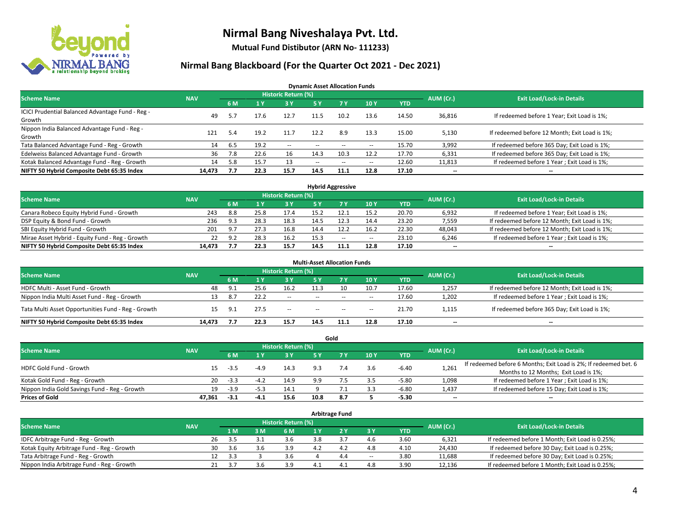

**Mutual Fund Distibutor (ARN No- 111233)**

### **Nirmal Bang Blackboard (For the Quarter Oct 2021 - Dec 2021)**

**Dynamic Asset Allocation Funds**

| <b>Scheme Name</b>                                         | <b>NAV</b> |      |      | Historic Return (%) |        |                          |                          |       | AUM (Cr.)                | <b>Exit Load/Lock-in Details</b>              |
|------------------------------------------------------------|------------|------|------|---------------------|--------|--------------------------|--------------------------|-------|--------------------------|-----------------------------------------------|
|                                                            |            | 6 M  |      | <b>3Y</b>           | 5 Y    | 7 Y                      | 10Y                      | YTD   |                          |                                               |
| ICICI Prudential Balanced Advantage Fund - Reg -<br>Growth | 49         | 5.7  | 17.6 | 12.7                | 11.5   | 10.2                     | 13.6                     | 14.50 | 36,816                   | If redeemed before 1 Year; Exit Load is 1%;   |
| Nippon India Balanced Advantage Fund - Reg -<br>Growth     | 121        | 5.4  | 19.2 | 11.7                | 12.2   | 8.9                      | 13.3                     | 15.00 | 5,130                    | If redeemed before 12 Month; Exit Load is 1%; |
| Tata Balanced Advantage Fund - Reg - Growth                | 14         | -6.5 | 19.2 | $\sim$              | $-$    | $\overline{\phantom{a}}$ | $\overline{\phantom{a}}$ | 15.70 | 3,992                    | If redeemed before 365 Day; Exit Load is 1%;  |
| Edelweiss Balanced Advantage Fund - Growth                 | 36         | 7.8  | 22.6 | 16                  | 14.3   | 10.3                     | 12.2                     | 17.70 | 6,331                    | If redeemed before 365 Day; Exit Load is 1%;  |
| Kotak Balanced Advantage Fund - Reg - Growth               | 14         | 5.8  | 15.7 | 13                  | $\sim$ | $\overline{\phantom{a}}$ | $\overline{\phantom{a}}$ | 12.60 | 11,813                   | If redeemed before 1 Year; Exit Load is 1%;   |
| NIFTY 50 Hybrid Composite Debt 65:35 Index                 | 14.473     | 7.7  | 22.3 | 15.7                | 14.5   | 11.1                     | 12.8                     | 17.10 | $\overline{\phantom{a}}$ | --                                            |

| <b>Hybrid Aggressive</b>                        |            |     |      |                            |      |     |        |            |           |                                               |  |  |  |
|-------------------------------------------------|------------|-----|------|----------------------------|------|-----|--------|------------|-----------|-----------------------------------------------|--|--|--|
| <b>Scheme Name</b>                              | <b>NAV</b> |     |      | <b>Historic Return (%)</b> |      |     |        |            | AUM (Cr.) | <b>Exit Load/Lock-in Details</b>              |  |  |  |
|                                                 |            | 6 M |      | 3 Y                        |      |     | 10Y    | <b>YTD</b> |           |                                               |  |  |  |
| Canara Robeco Equity Hybrid Fund - Growth       | 243        | 8.8 | 25.8 | 17.4                       | 15.2 |     | 15.2   | 20.70      | 6,932     | If redeemed before 1 Year; Exit Load is 1%;   |  |  |  |
| DSP Equity & Bond Fund - Growth                 | 236        | 9.3 | 28.3 | 18.3                       | 14.5 |     | 14.4   | 23.20      | 7,559     | If redeemed before 12 Month; Exit Load is 1%; |  |  |  |
| SBI Equity Hybrid Fund - Growth                 | 201        | 9.7 | 27.3 | 16.8                       | 14.4 |     | 16.2   | 22.30      | 48,043    | If redeemed before 12 Month; Exit Load is 1%; |  |  |  |
| Mirae Asset Hybrid - Equity Fund - Reg - Growth |            | 9.2 | 28.3 | 16.2                       | 15.3 | $-$ | $\sim$ | 23.10      | 6,246     | If redeemed before 1 Year; Exit Load is 1%;   |  |  |  |
| NIFTY 50 Hybrid Composite Debt 65:35 Index      | 14.473     |     | 22.3 | 15.7                       | 14.5 |     | 12.8   | 17.10      | $- -$     | $- -$                                         |  |  |  |

| <b>Multi-Asset Allocation Funds</b>                |            |     |      |                     |                          |        |      |            |                          |                                               |  |  |  |
|----------------------------------------------------|------------|-----|------|---------------------|--------------------------|--------|------|------------|--------------------------|-----------------------------------------------|--|--|--|
| <b>Scheme Name</b>                                 | <b>NAV</b> |     |      | Historic Return (%) |                          |        |      |            | AUM (Cr.)                | <b>Exit Load/Lock-in Details</b>              |  |  |  |
|                                                    |            | 6 M |      | 3 Y                 | 5 Y                      | 7 Y    | 10Y  | <b>YTD</b> |                          |                                               |  |  |  |
| HDFC Multi - Asset Fund - Growth                   | 48         | 9.1 | 25.6 | 16.2                | 11.3                     | 10     | 10.7 | 17.60      | 1,257                    | If redeemed before 12 Month; Exit Load is 1%; |  |  |  |
| Nippon India Multi Asset Fund - Reg - Growth       | 13         | 8.7 | 22.2 | --                  | $\sim$ $\sim$            | $\sim$ | $-$  | 17.60      | 1,202                    | If redeemed before 1 Year; Exit Load is 1%;   |  |  |  |
| Tata Multi Asset Opportunities Fund - Reg - Growth | 15         | 9.1 | 27.5 | $-$                 | $\overline{\phantom{a}}$ | $-$    | $-$  | 21.70      | 1,115                    | If redeemed before 365 Day; Exit Load is 1%;  |  |  |  |
| NIFTY 50 Hybrid Composite Debt 65:35 Index         | 14.473     |     | 22.3 | 15.7                | 14.5                     | 11.1   | 12.8 | 17.10      | $\overline{\phantom{a}}$ | $\overline{\phantom{a}}$                      |  |  |  |

|                                               |            |        |        |                     |      | Gold |     |         |                          |                                                                  |
|-----------------------------------------------|------------|--------|--------|---------------------|------|------|-----|---------|--------------------------|------------------------------------------------------------------|
| <b>Scheme Name</b>                            | <b>NAV</b> |        |        | Historic Return (%) |      |      |     |         | AUM (Cr.)                | <b>Exit Load/Lock-in Details</b>                                 |
|                                               |            | 6 M    |        | 73 Y.               | 5 Y  |      | 10Y | YTD     |                          |                                                                  |
| HDFC Gold Fund - Growth                       |            | $-3.5$ | $-4.9$ | 14.3                |      |      | 3.6 | $-6.40$ | 1,261                    | If redeemed before 6 Months; Exit Load is 2%; If redeemed bet. 6 |
|                                               |            |        |        |                     |      |      |     |         |                          | Months to 12 Months; Exit Load is 1%;                            |
| Kotak Gold Fund - Reg - Growth                | 20         | $-3.3$ | $-4.2$ | 14.9                | 99   |      | 3.5 | $-5.80$ | 1,098                    | If redeemed before 1 Year; Exit Load is 1%;                      |
| Nippon India Gold Savings Fund - Reg - Growth | 19         | $-3.9$ | $-5.3$ | 14.1                |      |      | 3.3 | $-6.80$ | 1,437                    | If redeemed before 15 Day; Exit Load is 1%;                      |
| <b>Prices of Gold</b>                         | 47.361     | $-3.1$ | -4.1   | 15.6                | 10.8 | 8.7  |     | $-5.30$ | $\overline{\phantom{a}}$ | --                                                               |

| <b>Arbitrage Fund</b>                      |            |                                  |  |     |     |  |                   |                          |            |        |                                                 |  |  |
|--------------------------------------------|------------|----------------------------------|--|-----|-----|--|-------------------|--------------------------|------------|--------|-------------------------------------------------|--|--|
| <b>Scheme Name</b>                         | AUM (Cr.)  | <b>Exit Load/Lock-in Details</b> |  |     |     |  |                   |                          |            |        |                                                 |  |  |
|                                            | <b>NAV</b> | 1 M                              |  | 3M  | 6 M |  |                   | 3 Y                      | <b>YTD</b> |        |                                                 |  |  |
| IDFC Arbitrage Fund - Reg - Growth         |            | 26<br>3.5                        |  |     | 3.6 |  |                   | 4.6                      | 3.60       | 6.321  | If redeemed before 1 Month; Exit Load is 0.25%; |  |  |
| Kotak Equity Arbitrage Fund - Reg - Growth |            | 30<br>. 3.b                      |  | 3.6 | 3.9 |  | 4.4               | 4.8                      | 4.10       | 24,430 | If redeemed before 30 Day; Exit Load is 0.25%;  |  |  |
| Tata Arbitrage Fund - Reg - Growth         |            | 12<br>-3.3                       |  |     | 3.6 |  | 4.4               | $\overline{\phantom{a}}$ | 3.80       | 11,688 | If redeemed before 30 Day; Exit Load is 0.25%;  |  |  |
| Nippon India Arbitrage Fund - Reg - Growth |            | 37<br>21                         |  |     | 3.9 |  | $\mathbf{\Delta}$ | 4.8                      | 3.90       | 12,136 | If redeemed before 1 Month; Exit Load is 0.25%; |  |  |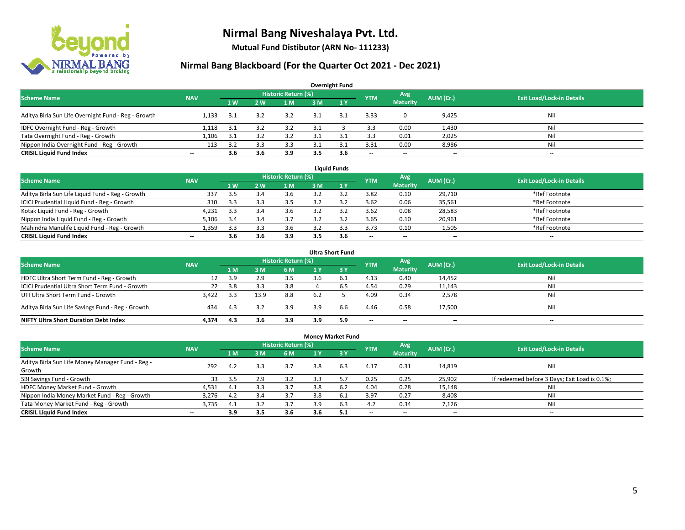

**Mutual Fund Distibutor (ARN No- 111233)**

| <b>Overnight Fund</b>                               |                          |     |                |                            |     |              |            |                          |           |                                  |  |  |  |  |
|-----------------------------------------------------|--------------------------|-----|----------------|----------------------------|-----|--------------|------------|--------------------------|-----------|----------------------------------|--|--|--|--|
| <b>Scheme Name</b>                                  | <b>NAV</b>               |     |                | <b>Historic Return (%)</b> |     |              | <b>YTM</b> | Avg                      | AUM (Cr.) | <b>Exit Load/Lock-in Details</b> |  |  |  |  |
|                                                     |                          | 1 W | 2 <sub>w</sub> | 1 M                        | 3 M | $\sqrt{1}$ V |            | <b>Maturity</b>          |           |                                  |  |  |  |  |
| Aditya Birla Sun Life Overnight Fund - Reg - Growth | 1.133                    | 3.1 | 3.2            | 3.2                        |     | 3.1          | 3.33       |                          | 9,425     | Nil                              |  |  |  |  |
| IDFC Overnight Fund - Reg - Growth                  | 1,118                    | 3.1 |                | 3.2                        |     |              | 3.3        | 0.00                     | 1,430     | Nil                              |  |  |  |  |
| Tata Overnight Fund - Reg - Growth                  | 1.106                    | 3.1 |                |                            |     |              | 3.3        | 0.01                     | 2,025     | Nil                              |  |  |  |  |
| Nippon India Overnight Fund - Reg - Growth          | 113                      | 3.2 | ? ≎            | 3.3                        |     |              | 3.31       | 0.00                     | 8,986     | Nil                              |  |  |  |  |
| <b>CRISIL Liquid Fund Index</b>                     | $\overline{\phantom{a}}$ | 3.6 | 3.6            | 3.9                        | 3.5 | 3.6          | --         | $\overline{\phantom{a}}$ | $- -$     | $-$                              |  |  |  |  |

| <b>Liquid Funds</b>                              |            |                |     |                     |     |     |            |                          |           |                                  |  |  |  |
|--------------------------------------------------|------------|----------------|-----|---------------------|-----|-----|------------|--------------------------|-----------|----------------------------------|--|--|--|
| <b>Scheme Name</b>                               | <b>NAV</b> |                |     | Historic Return (%) |     |     | <b>YTM</b> | Avg                      | AUM (Cr.) | <b>Exit Load/Lock-in Details</b> |  |  |  |
|                                                  |            | 1 <sub>W</sub> | 2 W | 1 M                 | 3 M |     |            | <b>Maturity</b>          |           |                                  |  |  |  |
| Aditya Birla Sun Life Liquid Fund - Reg - Growth | 337        | 3.5            |     | 3.6                 |     |     | 3.82       | 0.10                     | 29.710    | *Ref Footnote                    |  |  |  |
| ICICI Prudential Liquid Fund - Reg - Growth      | 310        | 3.3            |     | 3.5                 |     |     | 3.62       | 0.06                     | 35,561    | *Ref Footnote                    |  |  |  |
| Kotak Liquid Fund - Reg - Growth                 | 4,231      | 3.3            |     | 3.6                 |     |     | 3.62       | 0.08                     | 28,583    | *Ref Footnote                    |  |  |  |
| Nippon India Liquid Fund - Reg - Growth          | 5,106      |                |     | 3.7                 |     |     | 3.65       | 0.10                     | 20,961    | *Ref Footnote                    |  |  |  |
| Mahindra Manulife Liquid Fund - Reg - Growth     | 1.359      | 3.3            |     | 3.6                 |     |     | 3.73       | 0.10                     | 1,505     | *Ref Footnote                    |  |  |  |
| <b>CRISIL Liquid Fund Index</b>                  | $- -$      | 3.6            | 3.6 | 3.9                 | 3.5 | 3.6 | $- -$      | $\overline{\phantom{a}}$ | $- -$     | $\overline{\phantom{a}}$         |  |  |  |

| <b>Ultra Short Fund</b>                           |            |      |      |                            |     |              |                          |                          |           |                                  |  |  |  |
|---------------------------------------------------|------------|------|------|----------------------------|-----|--------------|--------------------------|--------------------------|-----------|----------------------------------|--|--|--|
| <b>Scheme Name</b>                                | <b>NAV</b> |      |      | <b>Historic Return (%)</b> |     |              | <b>YTM</b>               | Avg                      | AUM (Cr.) | <b>Exit Load/Lock-in Details</b> |  |  |  |
|                                                   |            | 1 M  | 3 M  | 6 M                        | 1 Y | $\sqrt{3}$ Y |                          | <b>Maturity</b>          |           |                                  |  |  |  |
| HDFC Ultra Short Term Fund - Reg - Growth         | 12         | 3.9  | 2.9  | 3.5                        | 3.h | ь.           | 4.13                     | 0.40                     | 14,452    | Nil                              |  |  |  |
| ICICI Prudential Ultra Short Term Fund - Growth   | 22         | 3.8  |      | 3.8                        |     |              | 4.54                     | 0.29                     | 11,143    | Nil                              |  |  |  |
| UTI Ultra Short Term Fund - Growth                | 3.422      | -3.3 | 13.9 | 8.8                        | 6.2 |              | 4.09                     | 0.34                     | 2,578     | Nil                              |  |  |  |
| Aditya Birla Sun Life Savings Fund - Reg - Growth | 434        | 4.3  | 3.2  | 3.9                        | 3.9 | 6.6          | 4.46                     | 0.58                     | 17,500    | Nil                              |  |  |  |
| <b>NIFTY Ultra Short Duration Debt Index</b>      | 4.374      | 4.3  | 3.6  | 3.9                        | 3.9 | 5.9          | $\overline{\phantom{a}}$ | $\overline{\phantom{a}}$ | --        | $-$                              |  |  |  |

| <b>Money Market Fund</b>                         |            |     |     |                     |     |                 |            |                          |                          |                                               |  |  |  |  |
|--------------------------------------------------|------------|-----|-----|---------------------|-----|-----------------|------------|--------------------------|--------------------------|-----------------------------------------------|--|--|--|--|
| <b>Scheme Name</b>                               | <b>NAV</b> |     |     | Historic Return (%) |     |                 | <b>YTM</b> | Avg                      | AUM (Cr.)                | <b>Exit Load/Lock-in Details</b>              |  |  |  |  |
|                                                  |            | 7 M | 3 M | 6 M                 | 1 Y | $\overline{3V}$ |            | <b>Maturity</b>          |                          |                                               |  |  |  |  |
| Aditya Birla Sun Life Money Manager Fund - Reg - | 292        | 4.2 | 3.3 | 3.7                 | 3.8 | 6.3             | 4.17       | 0.31                     | 14,819                   | Nil                                           |  |  |  |  |
| Growth                                           |            |     |     |                     |     |                 |            |                          |                          |                                               |  |  |  |  |
| SBI Savings Fund - Growth                        | 33         | 3.5 | 2.9 | 3.2                 | 3.3 | 5.7             | 0.25       | 0.25                     | 25,902                   | If redeemed before 3 Days; Exit Load is 0.1%; |  |  |  |  |
| HDFC Money Market Fund - Growth                  | 4,531      | 4.1 | 3.3 | 3.7                 | 3.8 | 6.2             | 4.04       | 0.28                     | 15,148                   | Nil                                           |  |  |  |  |
| Nippon India Money Market Fund - Reg - Growth    | 3.276      | 4.2 | 3.4 | 3.7                 | 3.8 | 6.1             | 3.97       | 0.27                     | 8,408                    | Nil                                           |  |  |  |  |
| Tata Money Market Fund - Reg - Growth            | 3.735      | 4.1 | 3.2 | 3.7                 | 3.9 | 6.3             | 4.2        | 0.34                     | 7,126                    | Nil                                           |  |  |  |  |
| <b>CRISIL Liquid Fund Index</b>                  | $- -$      | 3.9 | 3.5 | 3.6                 | 3.6 | 5.1             | --         | $\overline{\phantom{a}}$ | $\overline{\phantom{a}}$ | $-$                                           |  |  |  |  |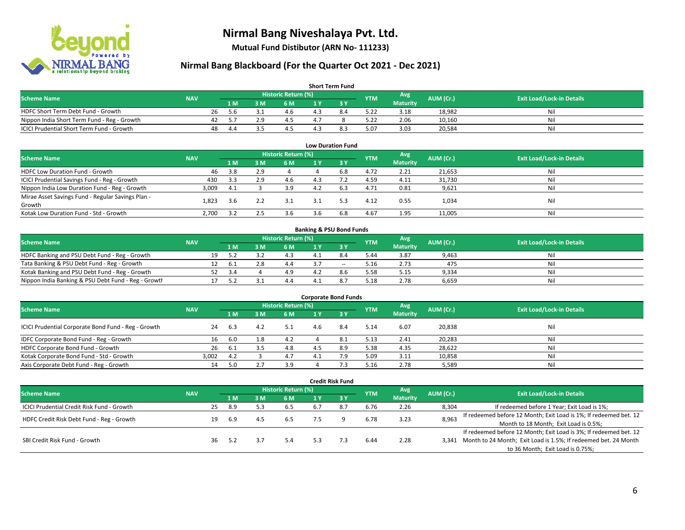

**Mutual Fund Distibutor (ARN No- 111233)**

| <b>Short Term Fund</b>                           |            |    |     |     |                     |     |     |            |                 |           |                                  |  |  |
|--------------------------------------------------|------------|----|-----|-----|---------------------|-----|-----|------------|-----------------|-----------|----------------------------------|--|--|
| <b>Scheme Name</b>                               | <b>NAV</b> |    |     |     | Historic Return (%) |     |     | <b>YTM</b> | Avg             | AUM (Cr.) | <b>Exit Load/Lock-in Details</b> |  |  |
|                                                  |            |    | 1 M | 3 M | 6 M                 |     |     |            | <b>Maturity</b> |           |                                  |  |  |
| HDFC Short Term Debt Fund - Growth               |            | 26 |     |     | 4.6                 |     | 8.4 | 5.22       | 3.18            | 18,982    | Nil                              |  |  |
| Nippon India Short Term Fund - Reg - Growth      |            |    |     | 2.9 |                     |     |     | 5.22       | 2.06            | 10,160    | Nil                              |  |  |
| <b>ICICI Prudential Short Term Fund - Growth</b> |            | 48 | 4.4 |     |                     | 4.3 | 8.3 | 5.07       | 3.03            | 20,584    | Nil                              |  |  |

| <b>Low Duration Fund</b>                          |            |     |     |                            |     |      |            |                 |           |                                  |  |  |  |
|---------------------------------------------------|------------|-----|-----|----------------------------|-----|------|------------|-----------------|-----------|----------------------------------|--|--|--|
| <b>Scheme Name</b>                                | <b>NAV</b> |     |     | <b>Historic Return (%)</b> |     |      | <b>YTM</b> | Avg             | AUM (Cr.) | <b>Exit Load/Lock-in Details</b> |  |  |  |
|                                                   |            | 1 M | 3 M | 6 M                        |     | -3 Y |            | <b>Maturity</b> |           |                                  |  |  |  |
| HDFC Low Duration Fund - Growth                   | 46         | 3.8 | 2.9 |                            |     | 6.8  | 4.72       | 2.21            | 21,653    | Nil                              |  |  |  |
| ICICI Prudential Savings Fund - Reg - Growth      | 430        | 3.3 | 2.9 | 4.6                        | 4.3 |      | 4.59       | 4.11            | 31,730    | Nil                              |  |  |  |
| Nippon India Low Duration Fund - Reg - Growth     | 3,009      | 4.1 |     | 3.9                        | 4.2 | 6.3  | 4.71       | 0.81            | 9,621     | Nil                              |  |  |  |
| Mirae Asset Savings Fund - Regular Savings Plan - |            |     |     |                            |     | 5.3  |            |                 |           | Nil                              |  |  |  |
| Growth                                            | 1.823      | 3.6 |     | 3.1                        | 3.1 |      | 4.12       | 0.55            | 1,034     |                                  |  |  |  |
| Kotak Low Duration Fund - Std - Growth            | 2,700      | 3.2 |     | 3.6                        | 3.6 | 6.8  | 4.67       | 1.95            | 11,005    | Nil                              |  |  |  |

| <b>Banking &amp; PSU Bond Funds</b>                 |            |  |      |     |                     |  |       |            |                 |           |                                  |  |  |  |
|-----------------------------------------------------|------------|--|------|-----|---------------------|--|-------|------------|-----------------|-----------|----------------------------------|--|--|--|
| <b>Scheme Name</b>                                  | <b>NAV</b> |  |      |     | Historic Return (%) |  |       | <b>YTM</b> | Avg             | AUM (Cr.) | <b>Exit Load/Lock-in Details</b> |  |  |  |
|                                                     |            |  | 4 M. | ያ M | 6 M                 |  |       |            | <b>Maturity</b> |           |                                  |  |  |  |
| HDFC Banking and PSU Debt Fund - Reg - Growth       |            |  |      |     |                     |  |       | 5.44       | 3.87            | 9,463     | Nil                              |  |  |  |
| Tata Banking & PSU Debt Fund - Reg - Growth         |            |  | -6.1 |     | 4.4                 |  | $- -$ | 5.16       | 2.73            | 475       | Nil                              |  |  |  |
| Kotak Banking and PSU Debt Fund - Reg - Growth      |            |  | 3.4  |     | 4.9                 |  | 8.6   | 5.58       | 5.15            | 9,334     | Nil                              |  |  |  |
| Nippon India Banking & PSU Debt Fund - Reg - Growth |            |  |      |     | 4.4                 |  |       | 5.18       | 2.78            | 6,659     | Nil                              |  |  |  |

| <b>Corporate Bond Funds</b>                         |            |      |     |                     |     |      |            |                 |           |                                  |  |
|-----------------------------------------------------|------------|------|-----|---------------------|-----|------|------------|-----------------|-----------|----------------------------------|--|
| <b>Scheme Name</b>                                  | <b>NAV</b> |      |     | Historic Return (%) |     |      | <b>YTM</b> | Avg             | AUM (Cr.) | <b>Exit Load/Lock-in Details</b> |  |
|                                                     |            | 1 M  | 3 M | 6 M                 |     | -3 Y |            | <b>Maturity</b> |           |                                  |  |
| ICICI Prudential Corporate Bond Fund - Reg - Growth | 24         | -6.3 | 4.2 | 5.1                 | 4.6 | 8.4  | 5.14       | 6.07            | 20,838    | Nil                              |  |
| IDFC Corporate Bond Fund - Reg - Growth             |            | 6.0  | 8.، | 4.2                 |     | 8.1  | 5.13       | 2.41            | 20,283    | Nil                              |  |
| HDFC Corporate Bond Fund - Growth                   | 26         | -6.1 |     | 4.8                 |     | 8.9  | 5.38       | 4.35            | 28,622    | Nil                              |  |
| Kotak Corporate Bond Fund - Std - Growth            | 3,002      | 4.2  |     | 4.7                 |     | 7.9  | 5.09       | 3.11            | 10,858    | Nil                              |  |
| Axis Corporate Debt Fund - Reg - Growth             | 14         | -5.0 |     | 3.9                 |     |      | 5.16       | 2.78            | 5,589     | Nil                              |  |

|                                                   |            |                     |     |     |            |     | <b>Credit Risk Fund</b> |            |                 |           |                                                                       |
|---------------------------------------------------|------------|---------------------|-----|-----|------------|-----|-------------------------|------------|-----------------|-----------|-----------------------------------------------------------------------|
| <b>Scheme Name</b>                                | <b>NAV</b> | Historic Return (%) |     |     |            |     |                         |            | Avg             | AUM (Cr.) | <b>Exit Load/Lock-in Details</b>                                      |
|                                                   |            |                     | 1 M | 3 M | <b>6 M</b> | 1 Y | $-3V$                   | <b>YTM</b> | <b>Maturity</b> |           |                                                                       |
| <b>ICICI Prudential Credit Risk Fund - Growth</b> |            | 25                  | 8.9 | 5.3 | 6.5        | 6.  | 8.7                     | 6.76       | 2.26            | 8,304     | If redeemed before 1 Year; Exit Load is 1%;                           |
| HDFC Credit Risk Debt Fund - Reg - Growth         |            | 19                  | 6.9 | 4.5 | 6.5        |     |                         | 6.78       | 3.23            | 8,963     | If redeemed before 12 Month; Exit Load is 1%; If redeemed bet. 12     |
|                                                   |            |                     |     |     |            |     |                         |            |                 |           | Month to 18 Month; Exit Load is 0.5%;                                 |
|                                                   |            |                     |     |     |            |     |                         |            |                 |           | If redeemed before 12 Month; Exit Load is 3%; If redeemed bet. 12     |
| SBI Credit Risk Fund - Growth                     |            | 36                  | 5.2 |     | 5.4        |     |                         | 6.44       | 2.28            |           | 3,341 Month to 24 Month; Exit Load is 1.5%; If redeemed bet. 24 Month |
|                                                   |            |                     |     |     |            |     |                         |            |                 |           | to 36 Month; Exit Load is 0.75%;                                      |